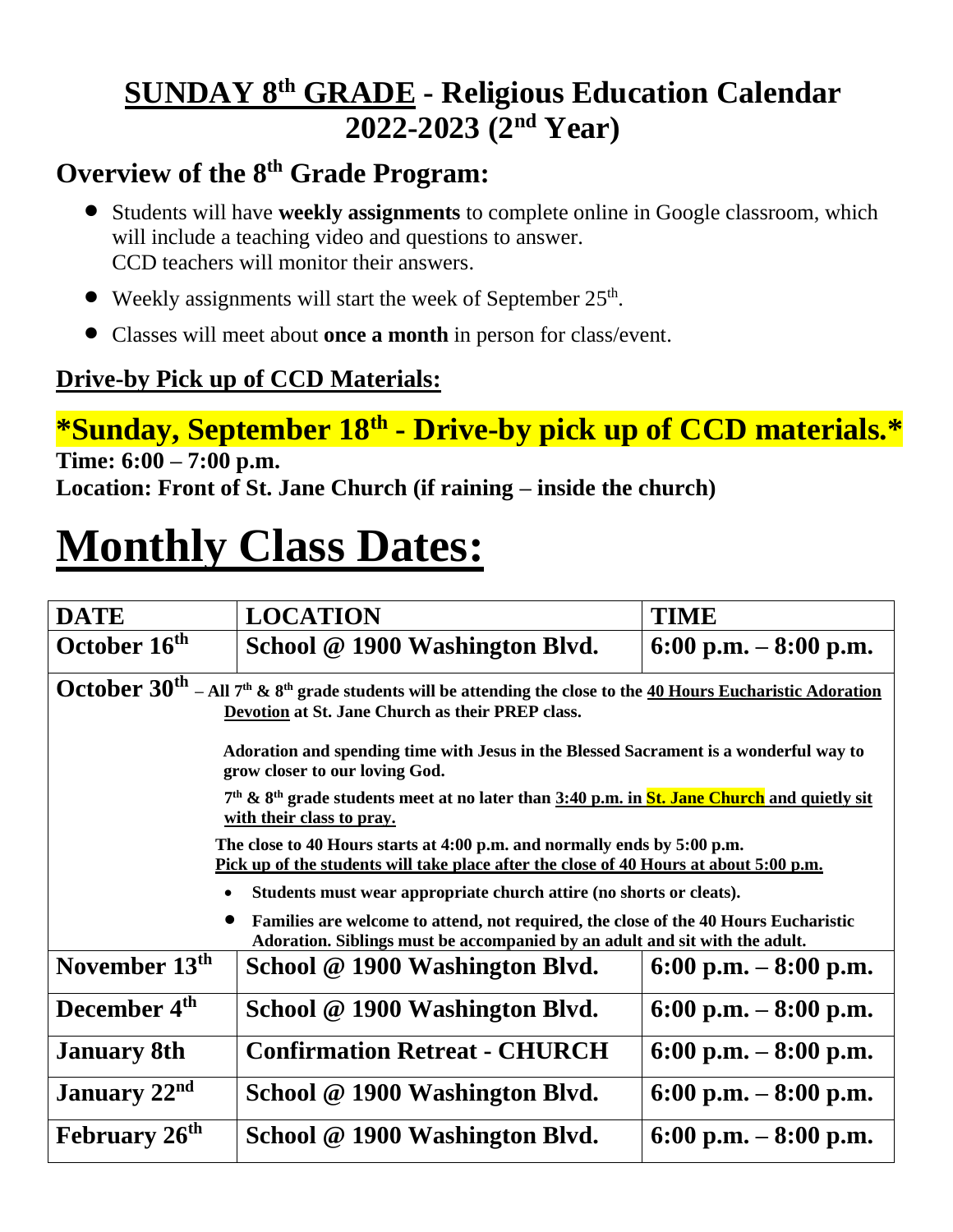## **SUNDAY 8 th GRADE - Religious Education Calendar 2022-2023 (2 nd Year)**

### **Overview of the 8 th Grade Program:**

- Students will have **weekly assignments** to complete online in Google classroom, which will include a teaching video and questions to answer. CCD teachers will monitor their answers.
- Weekly assignments will start the week of September 25<sup>th</sup>.
- Classes will meet about **once a month** in person for class/event.

#### **Drive-by Pick up of CCD Materials:**

# **\*Sunday, September 18th - Drive-by pick up of CCD materials.\***

**Time: 6:00 – 7:00 p.m. Location: Front of St. Jane Church (if raining – inside the church)**

# **Monthly Class Dates:**

| <b>DATE</b>                                                                                                                                                                      | <b>LOCATION</b>                      | <b>TIME</b>            |  |
|----------------------------------------------------------------------------------------------------------------------------------------------------------------------------------|--------------------------------------|------------------------|--|
| October 16 <sup>th</sup>                                                                                                                                                         | School @ 1900 Washington Blvd.       | 6:00 p.m. $-8:00$ p.m. |  |
| October $30^{th}$ – All $7^{th}$ & $8^{th}$ grade students will be attending the close to the 40 Hours Eucharistic Adoration<br>Devotion at St. Jane Church as their PREP class. |                                      |                        |  |
| Adoration and spending time with Jesus in the Blessed Sacrament is a wonderful way to<br>grow closer to our loving God.                                                          |                                      |                        |  |
| 7 <sup>th</sup> & 8 <sup>th</sup> grade students meet at no later than 3:40 p.m. in St. Jane Church and quietly sit<br>with their class to pray.                                 |                                      |                        |  |
| The close to 40 Hours starts at 4:00 p.m. and normally ends by 5:00 p.m.<br>Pick up of the students will take place after the close of 40 Hours at about 5:00 p.m.               |                                      |                        |  |
| Students must wear appropriate church attire (no shorts or cleats).                                                                                                              |                                      |                        |  |
| Families are welcome to attend, not required, the close of the 40 Hours Eucharistic<br>Adoration. Siblings must be accompanied by an adult and sit with the adult.               |                                      |                        |  |
| November 13 <sup>th</sup>                                                                                                                                                        | School @ 1900 Washington Blvd.       | 6:00 p.m. $-8:00$ p.m. |  |
| December 4 <sup>th</sup>                                                                                                                                                         | School @ 1900 Washington Blvd.       | 6:00 p.m. $-8:00$ p.m. |  |
| <b>January 8th</b>                                                                                                                                                               | <b>Confirmation Retreat - CHURCH</b> | 6:00 p.m. $-8:00$ p.m. |  |
| January 22 <sup>nd</sup>                                                                                                                                                         | School @ 1900 Washington Blvd.       | 6:00 p.m. $-8:00$ p.m. |  |
| February 26 <sup>th</sup>                                                                                                                                                        | School @ 1900 Washington Blvd.       | 6:00 p.m. $-8:00$ p.m. |  |